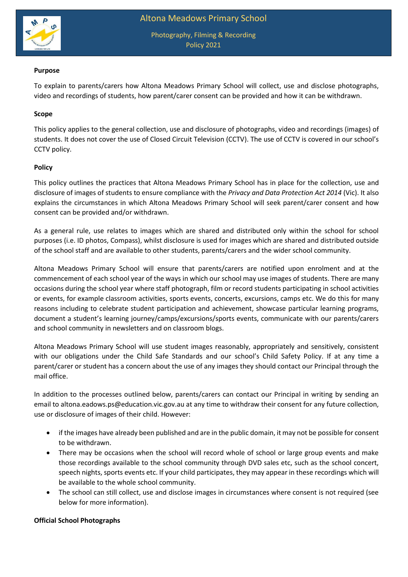

Photography, Filming & Recording Policy 2021

### **Purpose**

To explain to parents/carers how Altona Meadows Primary School will collect, use and disclose photographs, video and recordings of students, how parent/carer consent can be provided and how it can be withdrawn.

## **Scope**

This policy applies to the general collection, use and disclosure of photographs, video and recordings (images) of students. It does not cover the use of Closed Circuit Television (CCTV). The use of CCTV is covered in our school's CCTV policy.

### **Policy**

This policy outlines the practices that Altona Meadows Primary School has in place for the collection, use and disclosure of images of students to ensure compliance with the *Privacy and Data Protection Act 2014* (Vic). It also explains the circumstances in which Altona Meadows Primary School will seek parent/carer consent and how consent can be provided and/or withdrawn.

As a general rule, use relates to images which are shared and distributed only within the school for school purposes (i.e. ID photos, Compass), whilst disclosure is used for images which are shared and distributed outside of the school staff and are available to other students, parents/carers and the wider school community.

Altona Meadows Primary School will ensure that parents/carers are notified upon enrolment and at the commencement of each school year of the ways in which our school may use images of students. There are many occasions during the school year where staff photograph, film or record students participating in school activities or events, for example classroom activities, sports events, concerts, excursions, camps etc. We do this for many reasons including to celebrate student participation and achievement, showcase particular learning programs, document a student's learning journey/camps/excursions/sports events, communicate with our parents/carers and school community in newsletters and on classroom blogs.

Altona Meadows Primary School will use student images reasonably, appropriately and sensitively, consistent with our obligations under the Child Safe Standards and our school's Child Safety Policy. If at any time a parent/carer or student has a concern about the use of any images they should contact our Principal through the mail office.

In addition to the processes outlined below, parents/carers can contact our Principal in writing by sending an email to altona.eadows.ps@education.vic.gov.au at any time to withdraw their consent for any future collection, use or disclosure of images of their child. However:

- if the images have already been published and are in the public domain, it may not be possible for consent to be withdrawn.
- There may be occasions when the school will record whole of school or large group events and make those recordings available to the school community through DVD sales etc, such as the school concert, speech nights, sports events etc. If your child participates, they may appear in these recordings which will be available to the whole school community.
- The school can still collect, use and disclose images in circumstances where consent is not required (see below for more information).

### **Official School Photographs**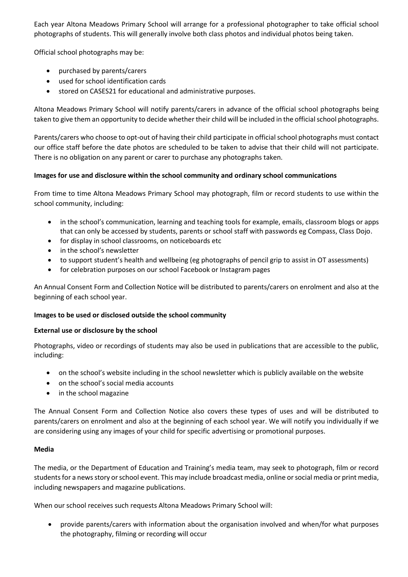Each year Altona Meadows Primary School will arrange for a professional photographer to take official school photographs of students. This will generally involve both class photos and individual photos being taken.

Official school photographs may be:

- purchased by parents/carers
- used for school identification cards
- stored on CASES21 for educational and administrative purposes.

Altona Meadows Primary School will notify parents/carers in advance of the official school photographs being taken to give them an opportunity to decide whether their child will be included in the official school photographs.

Parents/carers who choose to opt-out of having their child participate in official school photographs must contact our office staff before the date photos are scheduled to be taken to advise that their child will not participate. There is no obligation on any parent or carer to purchase any photographs taken.

# **Images for use and disclosure within the school community and ordinary school communications**

From time to time Altona Meadows Primary School may photograph, film or record students to use within the school community, including:

- in the school's communication, learning and teaching tools for example, emails, classroom blogs or apps that can only be accessed by students, parents or school staff with passwords eg Compass, Class Dojo.
- for display in school classrooms, on noticeboards etc
- in the school's newsletter
- to support student's health and wellbeing (eg photographs of pencil grip to assist in OT assessments)
- for celebration purposes on our school Facebook or Instagram pages

An Annual Consent Form and Collection Notice will be distributed to parents/carers on enrolment and also at the beginning of each school year.

## **Images to be used or disclosed outside the school community**

## **External use or disclosure by the school**

Photographs, video or recordings of students may also be used in publications that are accessible to the public, including:

- on the school's website including in the school newsletter which is publicly available on the website
- on the school's social media accounts
- in the school magazine

The Annual Consent Form and Collection Notice also covers these types of uses and will be distributed to parents/carers on enrolment and also at the beginning of each school year. We will notify you individually if we are considering using any images of your child for specific advertising or promotional purposes.

## **Media**

The media, or the Department of Education and Training's media team, may seek to photograph, film or record students for a news story or school event. This may include broadcast media, online or social media or print media, including newspapers and magazine publications.

When our school receives such requests Altona Meadows Primary School will:

 provide parents/carers with information about the organisation involved and when/for what purposes the photography, filming or recording will occur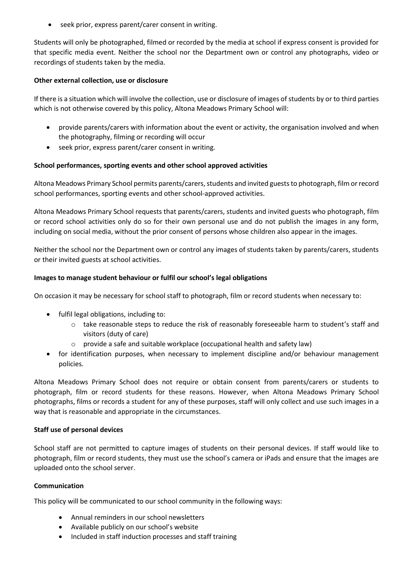seek prior, express parent/carer consent in writing.

Students will only be photographed, filmed or recorded by the media at school if express consent is provided for that specific media event. Neither the school nor the Department own or control any photographs, video or recordings of students taken by the media.

## **Other external collection, use or disclosure**

If there is a situation which will involve the collection, use or disclosure of images of students by or to third parties which is not otherwise covered by this policy, Altona Meadows Primary School will:

- provide parents/carers with information about the event or activity, the organisation involved and when the photography, filming or recording will occur
- seek prior, express parent/carer consent in writing.

## **School performances, sporting events and other school approved activities**

Altona Meadows Primary School permits parents/carers, students and invited guests to photograph, film or record school performances, sporting events and other school-approved activities.

Altona Meadows Primary School requests that parents/carers, students and invited guests who photograph, film or record school activities only do so for their own personal use and do not publish the images in any form, including on social media, without the prior consent of persons whose children also appear in the images.

Neither the school nor the Department own or control any images of students taken by parents/carers, students or their invited guests at school activities.

## **Images to manage student behaviour or fulfil our school's legal obligations**

On occasion it may be necessary for school staff to photograph, film or record students when necessary to:

- fulfil legal obligations, including to:
	- o take reasonable steps to reduce the risk of reasonably foreseeable harm to student's staff and visitors (duty of care)
	- $\circ$  provide a safe and suitable workplace (occupational health and safety law)
- for identification purposes, when necessary to implement discipline and/or behaviour management policies.

Altona Meadows Primary School does not require or obtain consent from parents/carers or students to photograph, film or record students for these reasons. However, when Altona Meadows Primary School photographs, films or records a student for any of these purposes, staff will only collect and use such images in a way that is reasonable and appropriate in the circumstances.

### **Staff use of personal devices**

School staff are not permitted to capture images of students on their personal devices. If staff would like to photograph, film or record students, they must use the school's camera or iPads and ensure that the images are uploaded onto the school server.

### **Communication**

This policy will be communicated to our school community in the following ways:

- Annual reminders in our school newsletters
- Available publicly on our school's website
- Included in staff induction processes and staff training